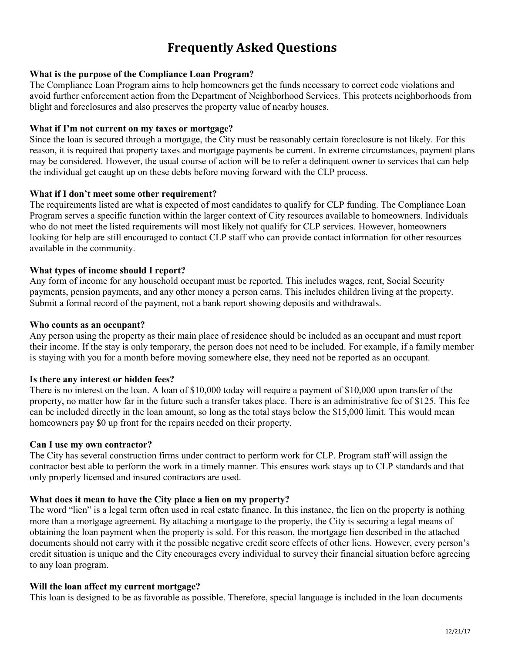# **Frequently Asked Questions**

## **What is the purpose of the Compliance Loan Program?**

The Compliance Loan Program aims to help homeowners get the funds necessary to correct code violations and avoid further enforcement action from the Department of Neighborhood Services. This protects neighborhoods from blight and foreclosures and also preserves the property value of nearby houses.

## **What if I'm not current on my taxes or mortgage?**

Since the loan is secured through a mortgage, the City must be reasonably certain foreclosure is not likely. For this reason, it is required that property taxes and mortgage payments be current. In extreme circumstances, payment plans may be considered. However, the usual course of action will be to refer a delinquent owner to services that can help the individual get caught up on these debts before moving forward with the CLP process.

## **What if I don't meet some other requirement?**

The requirements listed are what is expected of most candidates to qualify for CLP funding. The Compliance Loan Program serves a specific function within the larger context of City resources available to homeowners. Individuals who do not meet the listed requirements will most likely not qualify for CLP services. However, homeowners looking for help are still encouraged to contact CLP staff who can provide contact information for other resources available in the community.

## **What types of income should I report?**

Any form of income for any household occupant must be reported. This includes wages, rent, Social Security payments, pension payments, and any other money a person earns. This includes children living at the property. Submit a formal record of the payment, not a bank report showing deposits and withdrawals.

#### **Who counts as an occupant?**

Any person using the property as their main place of residence should be included as an occupant and must report their income. If the stay is only temporary, the person does not need to be included. For example, if a family member is staying with you for a month before moving somewhere else, they need not be reported as an occupant.

#### **Is there any interest or hidden fees?**

There is no interest on the loan. A loan of \$10,000 today will require a payment of \$10,000 upon transfer of the property, no matter how far in the future such a transfer takes place. There is an administrative fee of \$125. This fee can be included directly in the loan amount, so long as the total stays below the \$15,000 limit. This would mean homeowners pay \$0 up front for the repairs needed on their property.

#### **Can I use my own contractor?**

The City has several construction firms under contract to perform work for CLP. Program staff will assign the contractor best able to perform the work in a timely manner. This ensures work stays up to CLP standards and that only properly licensed and insured contractors are used.

## **What does it mean to have the City place a lien on my property?**

The word "lien" is a legal term often used in real estate finance. In this instance, the lien on the property is nothing more than a mortgage agreement. By attaching a mortgage to the property, the City is securing a legal means of obtaining the loan payment when the property is sold. For this reason, the mortgage lien described in the attached documents should not carry with it the possible negative credit score effects of other liens. However, every person's credit situation is unique and the City encourages every individual to survey their financial situation before agreeing to any loan program.

#### **Will the loan affect my current mortgage?**

This loan is designed to be as favorable as possible. Therefore, special language is included in the loan documents